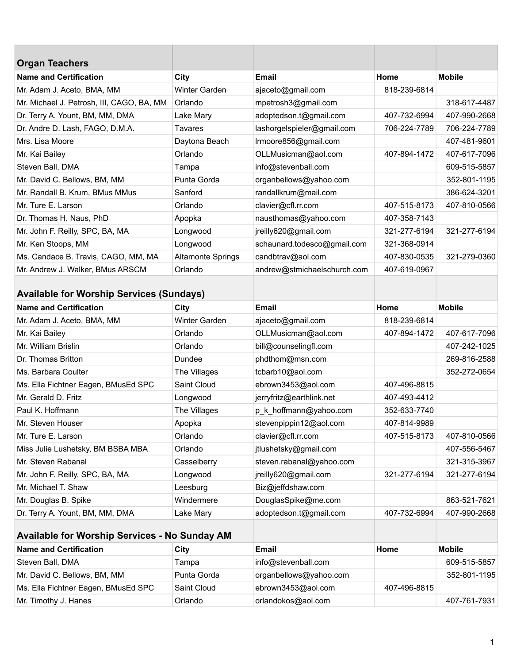| <b>Organ Teachers</b>                                |                          |                             |              |               |
|------------------------------------------------------|--------------------------|-----------------------------|--------------|---------------|
| <b>Name and Certification</b>                        | City                     | <b>Email</b>                | Home         | <b>Mobile</b> |
| Mr. Adam J. Aceto, BMA, MM                           | Winter Garden            | ajaceto@gmail.com           | 818-239-6814 |               |
| Mr. Michael J. Petrosh, III, CAGO, BA, MM            | Orlando                  | mpetrosh3@gmail.com         |              | 318-617-4487  |
| Dr. Terry A. Yount, BM, MM, DMA                      | Lake Mary                | adoptedson.t@gmail.com      | 407-732-6994 | 407-990-2668  |
| Dr. Andre D. Lash, FAGO, D.M.A.                      | <b>Tavares</b>           | lashorgelspieler@gmail.com  | 706-224-7789 | 706-224-7789  |
| Mrs. Lisa Moore                                      | Daytona Beach            | Irmoore856@gmail.com        |              | 407-481-9601  |
| Mr. Kai Bailey                                       | Orlando                  | OLLMusicman@aol.com         | 407-894-1472 | 407-617-7096  |
| Steven Ball, DMA                                     | Tampa                    | info@stevenball.com         |              | 609-515-5857  |
| Mr. David C. Bellows, BM, MM                         | Punta Gorda              | organbellows@yahoo.com      |              | 352-801-1195  |
| Mr. Randall B. Krum, BMus MMus                       | Sanford                  | randallkrum@mail.com        |              | 386-624-3201  |
| Mr. Ture E. Larson                                   | Orlando                  | clavier@cfl.rr.com          | 407-515-8173 | 407-810-0566  |
| Dr. Thomas H. Naus, PhD                              | Apopka                   | nausthomas@yahoo.com        | 407-358-7143 |               |
| Mr. John F. Reilly, SPC, BA, MA                      | Longwood                 | jreilly620@gmail.com        | 321-277-6194 | 321-277-6194  |
| Mr. Ken Stoops, MM                                   | Longwood                 | schaunard.todesco@gmail.com | 321-368-0914 |               |
| Ms. Candace B. Travis, CAGO, MM, MA                  | <b>Altamonte Springs</b> | candbtrav@aol.com           | 407-830-0535 | 321-279-0360  |
| Mr. Andrew J. Walker, BMus ARSCM                     | Orlando                  | andrew@stmichaelschurch.com | 407-619-0967 |               |
| <b>Available for Worship Services (Sundays)</b>      |                          |                             |              |               |
| <b>Name and Certification</b>                        | City                     | <b>Email</b>                | Home         | <b>Mobile</b> |
| Mr. Adam J. Aceto, BMA, MM                           | Winter Garden            | ajaceto@gmail.com           | 818-239-6814 |               |
| Mr. Kai Bailey                                       | Orlando                  | OLLMusicman@aol.com         | 407-894-1472 | 407-617-7096  |
| Mr. William Brislin                                  | Orlando                  | bill@counselingfl.com       |              | 407-242-1025  |
| Dr. Thomas Britton                                   | Dundee                   | phdthom@msn.com             |              | 269-816-2588  |
| Ms. Barbara Coulter                                  | The Villages             | tcbarb10@aol.com            |              | 352-272-0654  |
| Ms. Ella Fichtner Eagen, BMusEd SPC                  | Saint Cloud              | ebrown3453@aol.com          | 407-496-8815 |               |
| Mr. Gerald D. Fritz                                  | Longwood                 | jerryfritz@earthlink.net    | 407-493-4412 |               |
| Paul K. Hoffmann                                     | The Villages             | p_k_hoffmann@yahoo.com      | 352-633-7740 |               |
| Mr. Steven Houser                                    | Apopka                   | stevenpippin12@aol.com      | 407-814-9989 |               |
| Mr. Ture E. Larson                                   | Orlando                  | clavier@cfl.rr.com          | 407-515-8173 | 407-810-0566  |
| Miss Julie Lushetsky, BM BSBA MBA                    | Orlando                  | jtlushetsky@gmail.com       |              | 407-556-5467  |
| Mr. Steven Rabanal                                   | Casselberry              | steven.rabanal@yahoo.com    |              | 321-315-3967  |
| Mr. John F. Reilly, SPC, BA, MA                      | Longwood                 | jreilly620@gmail.com        | 321-277-6194 | 321-277-6194  |
| Mr. Michael T. Shaw                                  | Leesburg                 | Biz@jeffdshaw.com           |              |               |
| Mr. Douglas B. Spike                                 | Windermere               | DouglasSpike@me.com         |              | 863-521-7621  |
| Dr. Terry A. Yount, BM, MM, DMA                      | Lake Mary                | adoptedson.t@gmail.com      | 407-732-6994 | 407-990-2668  |
| <b>Available for Worship Services - No Sunday AM</b> |                          |                             |              |               |
| <b>Name and Certification</b>                        | City                     | <b>Email</b>                | Home         | <b>Mobile</b> |
| Steven Ball, DMA                                     | Tampa                    | info@stevenball.com         |              | 609-515-5857  |
| Mr. David C. Bellows, BM, MM                         | Punta Gorda              | organbellows@yahoo.com      |              | 352-801-1195  |
| Ms. Ella Fichtner Eagen, BMusEd SPC                  | Saint Cloud              | ebrown3453@aol.com          | 407-496-8815 |               |
| Mr. Timothy J. Hanes                                 | Orlando                  | orlandokos@aol.com          |              | 407-761-7931  |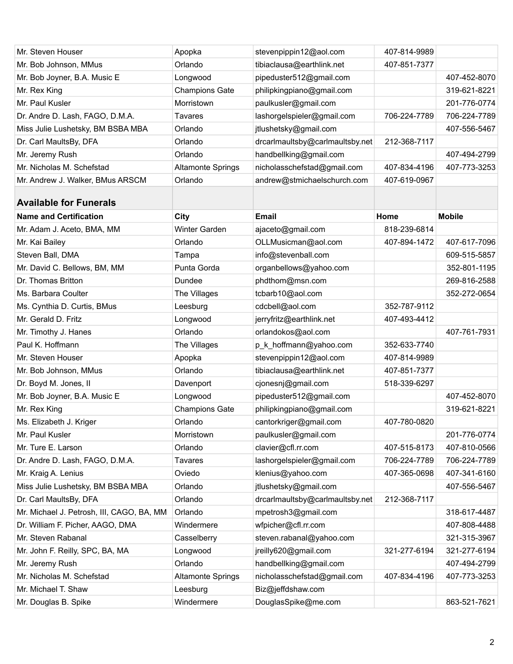| Mr. Steven Houser                         | Apopka                   | stevenpippin12@aol.com          | 407-814-9989 |               |
|-------------------------------------------|--------------------------|---------------------------------|--------------|---------------|
| Mr. Bob Johnson, MMus                     | Orlando                  | tibiaclausa@earthlink.net       | 407-851-7377 |               |
| Mr. Bob Joyner, B.A. Music E              | Longwood                 | pipeduster512@gmail.com         |              | 407-452-8070  |
| Mr. Rex King                              | <b>Champions Gate</b>    | philipkingpiano@gmail.com       |              | 319-621-8221  |
| Mr. Paul Kusler                           | Morristown               | paulkusler@gmail.com            |              | 201-776-0774  |
| Dr. Andre D. Lash, FAGO, D.M.A.           | <b>Tavares</b>           | lashorgelspieler@gmail.com      | 706-224-7789 | 706-224-7789  |
| Miss Julie Lushetsky, BM BSBA MBA         | Orlando                  | jtlushetsky@gmail.com           |              | 407-556-5467  |
| Dr. Carl MaultsBy, DFA                    | Orlando                  | drcarlmaultsby@carlmaultsby.net | 212-368-7117 |               |
| Mr. Jeremy Rush                           | Orlando                  | handbellking@gmail.com          |              | 407-494-2799  |
| Mr. Nicholas M. Schefstad                 | <b>Altamonte Springs</b> | nicholasschefstad@gmail.com     | 407-834-4196 | 407-773-3253  |
| Mr. Andrew J. Walker, BMus ARSCM          | Orlando                  | andrew@stmichaelschurch.com     | 407-619-0967 |               |
| <b>Available for Funerals</b>             |                          |                                 |              |               |
| <b>Name and Certification</b>             | City                     | <b>Email</b>                    | Home         | <b>Mobile</b> |
| Mr. Adam J. Aceto, BMA, MM                | <b>Winter Garden</b>     | ajaceto@gmail.com               | 818-239-6814 |               |
| Mr. Kai Bailey                            | Orlando                  | OLLMusicman@aol.com             | 407-894-1472 | 407-617-7096  |
| Steven Ball, DMA                          | Tampa                    | info@stevenball.com             |              | 609-515-5857  |
| Mr. David C. Bellows, BM, MM              | Punta Gorda              | organbellows@yahoo.com          |              | 352-801-1195  |
| Dr. Thomas Britton                        | Dundee                   | phdthom@msn.com                 |              | 269-816-2588  |
| Ms. Barbara Coulter                       | The Villages             | tcbarb10@aol.com                |              | 352-272-0654  |
| Ms. Cynthia D. Curtis, BMus               | Leesburg                 | cdcbell@aol.com                 | 352-787-9112 |               |
| Mr. Gerald D. Fritz                       | Longwood                 | jerryfritz@earthlink.net        | 407-493-4412 |               |
| Mr. Timothy J. Hanes                      | Orlando                  | orlandokos@aol.com              |              | 407-761-7931  |
| Paul K. Hoffmann                          | The Villages             | p_k_hoffmann@yahoo.com          | 352-633-7740 |               |
| Mr. Steven Houser                         | Apopka                   | stevenpippin12@aol.com          | 407-814-9989 |               |
| Mr. Bob Johnson, MMus                     | Orlando                  | tibiaclausa@earthlink.net       | 407-851-7377 |               |
| Dr. Boyd M. Jones, II                     | Davenport                | cjonesnj@gmail.com              | 518-339-6297 |               |
| Mr. Bob Joyner, B.A. Music E              | Longwood                 | pipeduster512@gmail.com         |              | 407-452-8070  |
| Mr. Rex King                              | <b>Champions Gate</b>    | philipkingpiano@gmail.com       |              | 319-621-8221  |
| Ms. Elizabeth J. Kriger                   | Orlando                  | cantorkriger@gmail.com          | 407-780-0820 |               |
| Mr. Paul Kusler                           | Morristown               | paulkusler@gmail.com            |              | 201-776-0774  |
| Mr. Ture E. Larson                        | Orlando                  | clavier@cfl.rr.com              | 407-515-8173 | 407-810-0566  |
| Dr. Andre D. Lash, FAGO, D.M.A.           | <b>Tavares</b>           | lashorgelspieler@gmail.com      | 706-224-7789 | 706-224-7789  |
| Mr. Kraig A. Lenius                       | Oviedo                   | klenius@yahoo.com               | 407-365-0698 | 407-341-6160  |
| Miss Julie Lushetsky, BM BSBA MBA         | Orlando                  | jtlushetsky@gmail.com           |              | 407-556-5467  |
| Dr. Carl MaultsBy, DFA                    | Orlando                  | drcarlmaultsby@carlmaultsby.net | 212-368-7117 |               |
| Mr. Michael J. Petrosh, III, CAGO, BA, MM | Orlando                  | mpetrosh3@gmail.com             |              | 318-617-4487  |
| Dr. William F. Picher, AAGO, DMA          | Windermere               | wfpicher@cfl.rr.com             |              | 407-808-4488  |
| Mr. Steven Rabanal                        | Casselberry              | steven.rabanal@yahoo.com        |              | 321-315-3967  |
| Mr. John F. Reilly, SPC, BA, MA           | Longwood                 | jreilly620@gmail.com            | 321-277-6194 | 321-277-6194  |
| Mr. Jeremy Rush                           | Orlando                  | handbellking@gmail.com          |              | 407-494-2799  |
| Mr. Nicholas M. Schefstad                 | <b>Altamonte Springs</b> | nicholasschefstad@gmail.com     | 407-834-4196 | 407-773-3253  |
| Mr. Michael T. Shaw                       | Leesburg                 | Biz@jeffdshaw.com               |              |               |
| Mr. Douglas B. Spike                      | Windermere               | DouglasSpike@me.com             |              | 863-521-7621  |